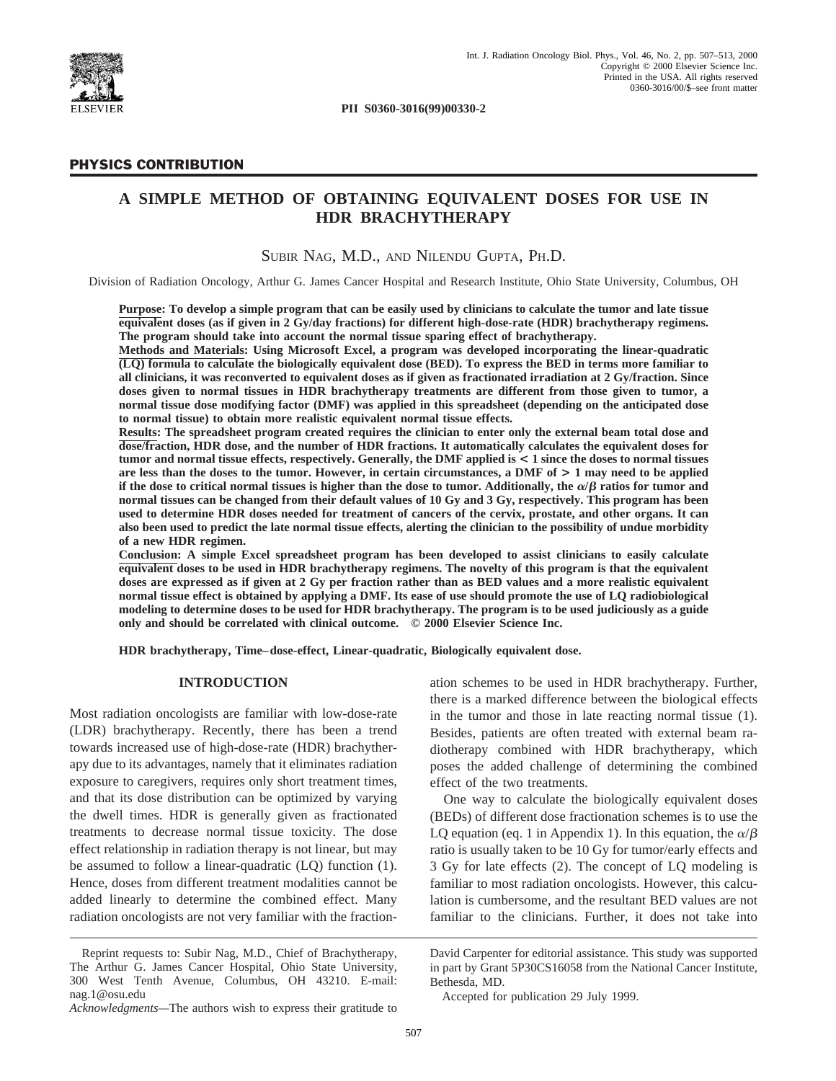

**PII S0360-3016(99)00330-2**

## PHYSICS CONTRIBUTION

# **A SIMPLE METHOD OF OBTAINING EQUIVALENT DOSES FOR USE IN HDR BRACHYTHERAPY**

# SUBIR NAG, M.D., AND NILENDU GUPTA, PH.D.

Division of Radiation Oncology, Arthur G. James Cancer Hospital and Research Institute, Ohio State University, Columbus, OH

**Purpose: To develop a simple program that can be easily used by clinicians to calculate the tumor and late tissue equivalent doses (as if given in 2 Gy/day fractions) for different high-dose-rate (HDR) brachytherapy regimens. The program should take into account the normal tissue sparing effect of brachytherapy.**

**Methods and Materials: Using Microsoft Excel, a program was developed incorporating the linear-quadratic (LQ) formula to calculate the biologically equivalent dose (BED). To express the BED in terms more familiar to all clinicians, it was reconverted to equivalent doses as if given as fractionated irradiation at 2 Gy/fraction. Since doses given to normal tissues in HDR brachytherapy treatments are different from those given to tumor, a normal tissue dose modifying factor (DMF) was applied in this spreadsheet (depending on the anticipated dose to normal tissue) to obtain more realistic equivalent normal tissue effects.**

**Results: The spreadsheet program created requires the clinician to enter only the external beam total dose and dose/fraction, HDR dose, and the number of HDR fractions. It automatically calculates the equivalent doses for tumor and normal tissue effects, respectively. Generally, the DMF applied is < 1 since the doses to normal tissues are less than the doses to the tumor. However, in certain circumstances, a DMF of > 1 may need to be applied if the dose to critical normal tissues is higher than the dose to tumor. Additionally, the**  $\alpha/\beta$  **ratios for tumor and normal tissues can be changed from their default values of 10 Gy and 3 Gy, respectively. This program has been used to determine HDR doses needed for treatment of cancers of the cervix, prostate, and other organs. It can also been used to predict the late normal tissue effects, alerting the clinician to the possibility of undue morbidity of a new HDR regimen.**

**Conclusion: A simple Excel spreadsheet program has been developed to assist clinicians to easily calculate equivalent doses to be used in HDR brachytherapy regimens. The novelty of this program is that the equivalent doses are expressed as if given at 2 Gy per fraction rather than as BED values and a more realistic equivalent normal tissue effect is obtained by applying a DMF. Its ease of use should promote the use of LQ radiobiological modeling to determine doses to be used for HDR brachytherapy. The program is to be used judiciously as a guide only and should be correlated with clinical outcome. © 2000 Elsevier Science Inc.**

**HDR brachytherapy, Time–dose-effect, Linear-quadratic, Biologically equivalent dose.**

# **INTRODUCTION**

Most radiation oncologists are familiar with low-dose-rate (LDR) brachytherapy. Recently, there has been a trend towards increased use of high-dose-rate (HDR) brachytherapy due to its advantages, namely that it eliminates radiation exposure to caregivers, requires only short treatment times, and that its dose distribution can be optimized by varying the dwell times. HDR is generally given as fractionated treatments to decrease normal tissue toxicity. The dose effect relationship in radiation therapy is not linear, but may be assumed to follow a linear-quadratic (LQ) function (1). Hence, doses from different treatment modalities cannot be added linearly to determine the combined effect. Many radiation oncologists are not very familiar with the fraction-

Reprint requests to: Subir Nag, M.D., Chief of Brachytherapy, The Arthur G. James Cancer Hospital, Ohio State University, 300 West Tenth Avenue, Columbus, OH 43210. E-mail: nag.1@osu.edu

*Acknowledgments—*The authors wish to express their gratitude to

ation schemes to be used in HDR brachytherapy. Further, there is a marked difference between the biological effects in the tumor and those in late reacting normal tissue (1). Besides, patients are often treated with external beam radiotherapy combined with HDR brachytherapy, which poses the added challenge of determining the combined effect of the two treatments.

One way to calculate the biologically equivalent doses (BEDs) of different dose fractionation schemes is to use the LQ equation (eq. 1 in Appendix 1). In this equation, the  $\alpha/\beta$ ratio is usually taken to be 10 Gy for tumor/early effects and 3 Gy for late effects (2). The concept of LQ modeling is familiar to most radiation oncologists. However, this calculation is cumbersome, and the resultant BED values are not familiar to the clinicians. Further, it does not take into

Accepted for publication 29 July 1999.

David Carpenter for editorial assistance. This study was supported in part by Grant 5P30CS16058 from the National Cancer Institute, Bethesda, MD.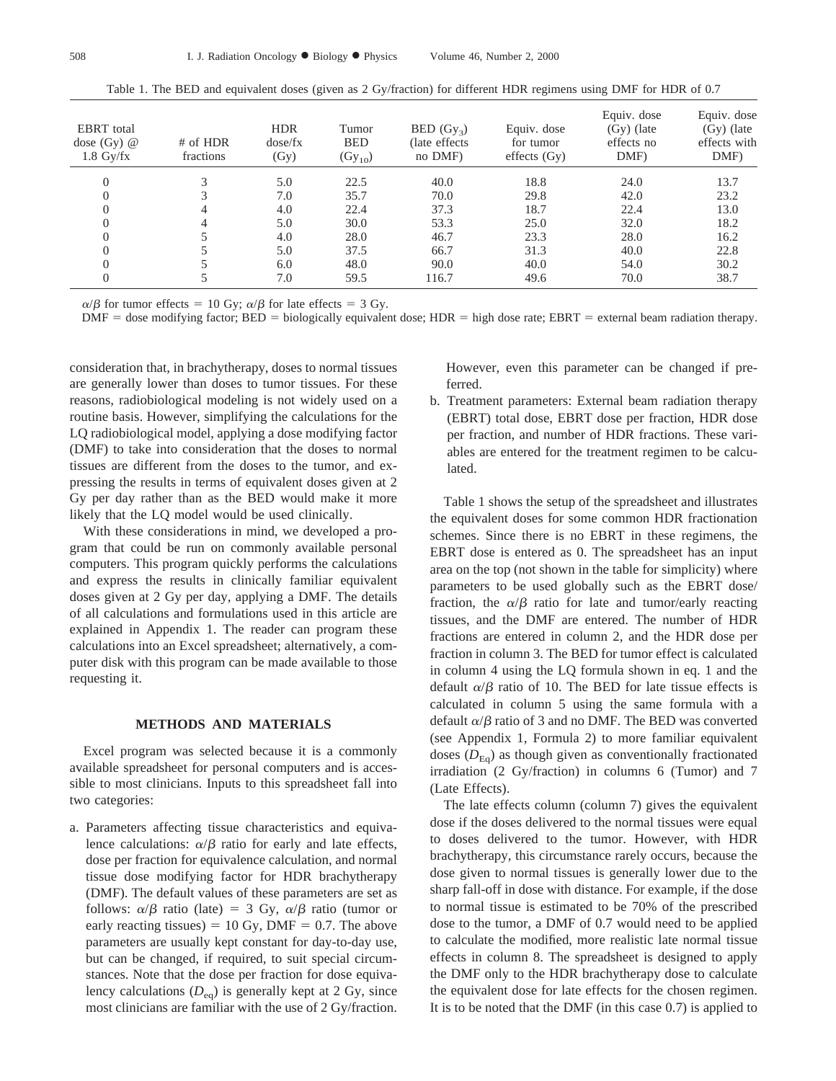|  |  |  | Table 1. The BED and equivalent doses (given as 2 Gy/fraction) for different HDR regimens using DMF for HDR of 0.7 |  |  |  |
|--|--|--|--------------------------------------------------------------------------------------------------------------------|--|--|--|
|  |  |  |                                                                                                                    |  |  |  |

| <b>EBRT</b> total<br>dose $(Gy)$ $@$<br>$1.8 \text{ Gy/fx}$ | # of HDR<br>fractions | <b>HDR</b><br>dose/fx<br>(Gy) | Tumor<br><b>BED</b><br>$(Gy_{10})$ | BED $(Gy_3)$<br>(late effects)<br>no DMF) | Equiv. dose<br>for tumor<br>effects(Gy) | Equiv. dose<br>$(Gy)$ (late<br>effects no<br>DMF) | Equiv. dose<br>$(Gy)$ (late<br>effects with<br>DMF) |
|-------------------------------------------------------------|-----------------------|-------------------------------|------------------------------------|-------------------------------------------|-----------------------------------------|---------------------------------------------------|-----------------------------------------------------|
|                                                             | 3                     | 5.0                           | 22.5                               | 40.0                                      | 18.8                                    | 24.0                                              | 13.7                                                |
|                                                             | 3                     | 7.0                           | 35.7                               | 70.0                                      | 29.8                                    | 42.0                                              | 23.2                                                |
|                                                             | 4                     | 4.0                           | 22.4                               | 37.3                                      | 18.7                                    | 22.4                                              | 13.0                                                |
|                                                             | 4                     | 5.0                           | 30.0                               | 53.3                                      | 25.0                                    | 32.0                                              | 18.2                                                |
|                                                             |                       | 4.0                           | 28.0                               | 46.7                                      | 23.3                                    | 28.0                                              | 16.2                                                |
|                                                             |                       | 5.0                           | 37.5                               | 66.7                                      | 31.3                                    | 40.0                                              | 22.8                                                |
|                                                             |                       | 6.0                           | 48.0                               | 90.0                                      | 40.0                                    | 54.0                                              | 30.2                                                |
|                                                             |                       | 7.0                           | 59.5                               | 116.7                                     | 49.6                                    | 70.0                                              | 38.7                                                |

 $\alpha/\beta$  for tumor effects = 10 Gy;  $\alpha/\beta$  for late effects = 3 Gy.

 $DMF =$  dose modifying factor; BED = biologically equivalent dose;  $HDR =$  high dose rate; EBRT = external beam radiation therapy.

consideration that, in brachytherapy, doses to normal tissues are generally lower than doses to tumor tissues. For these reasons, radiobiological modeling is not widely used on a routine basis. However, simplifying the calculations for the LQ radiobiological model, applying a dose modifying factor (DMF) to take into consideration that the doses to normal tissues are different from the doses to the tumor, and expressing the results in terms of equivalent doses given at 2 Gy per day rather than as the BED would make it more likely that the LQ model would be used clinically.

With these considerations in mind, we developed a program that could be run on commonly available personal computers. This program quickly performs the calculations and express the results in clinically familiar equivalent doses given at 2 Gy per day, applying a DMF. The details of all calculations and formulations used in this article are explained in Appendix 1. The reader can program these calculations into an Excel spreadsheet; alternatively, a computer disk with this program can be made available to those requesting it.

# **METHODS AND MATERIALS**

Excel program was selected because it is a commonly available spreadsheet for personal computers and is accessible to most clinicians. Inputs to this spreadsheet fall into two categories:

a. Parameters affecting tissue characteristics and equivalence calculations:  $\alpha/\beta$  ratio for early and late effects, dose per fraction for equivalence calculation, and normal tissue dose modifying factor for HDR brachytherapy (DMF). The default values of these parameters are set as follows:  $\alpha/\beta$  ratio (late) = 3 Gy,  $\alpha/\beta$  ratio (tumor or early reacting tissues) = 10 Gy, DMF = 0.7. The above parameters are usually kept constant for day-to-day use, but can be changed, if required, to suit special circumstances. Note that the dose per fraction for dose equivalency calculations  $(D_{eq})$  is generally kept at 2 Gy, since most clinicians are familiar with the use of 2 Gy/fraction. However, even this parameter can be changed if preferred.

b. Treatment parameters: External beam radiation therapy (EBRT) total dose, EBRT dose per fraction, HDR dose per fraction, and number of HDR fractions. These variables are entered for the treatment regimen to be calculated.

Table 1 shows the setup of the spreadsheet and illustrates the equivalent doses for some common HDR fractionation schemes. Since there is no EBRT in these regimens, the EBRT dose is entered as 0. The spreadsheet has an input area on the top (not shown in the table for simplicity) where parameters to be used globally such as the EBRT dose/ fraction, the  $\alpha/\beta$  ratio for late and tumor/early reacting tissues, and the DMF are entered. The number of HDR fractions are entered in column 2, and the HDR dose per fraction in column 3. The BED for tumor effect is calculated in column 4 using the LQ formula shown in eq. 1 and the default  $\alpha/\beta$  ratio of 10. The BED for late tissue effects is calculated in column 5 using the same formula with a default  $\alpha/\beta$  ratio of 3 and no DMF. The BED was converted (see Appendix 1, Formula 2) to more familiar equivalent doses  $(D_{\text{Eq}})$  as though given as conventionally fractionated irradiation (2 Gy/fraction) in columns 6 (Tumor) and 7 (Late Effects).

The late effects column (column 7) gives the equivalent dose if the doses delivered to the normal tissues were equal to doses delivered to the tumor. However, with HDR brachytherapy, this circumstance rarely occurs, because the dose given to normal tissues is generally lower due to the sharp fall-off in dose with distance. For example, if the dose to normal tissue is estimated to be 70% of the prescribed dose to the tumor, a DMF of 0.7 would need to be applied to calculate the modified, more realistic late normal tissue effects in column 8. The spreadsheet is designed to apply the DMF only to the HDR brachytherapy dose to calculate the equivalent dose for late effects for the chosen regimen. It is to be noted that the DMF (in this case 0.7) is applied to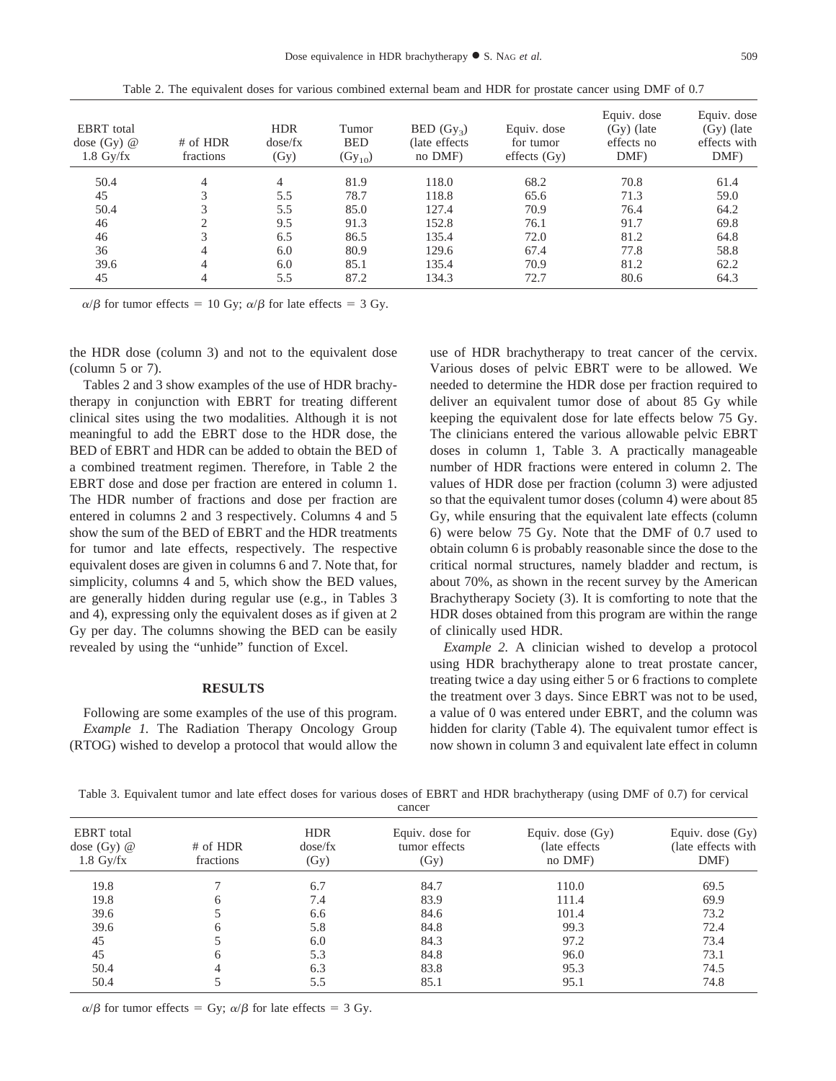| <b>EBRT</b> total<br>dose $(Gy)$ $@$<br>$1.8 \text{ Gy/fx}$ | # of HDR<br>fractions | <b>HDR</b><br>dose/fx<br>(Gy) | Tumor<br><b>BED</b><br>$(Gy_{10})$ | BED $(Gy_3)$<br>(late effects)<br>no DMF) | Equiv. dose<br>for tumor<br>effects(Gy) | Equiv. dose<br>(Gy) (late<br>effects no<br>DMF) | Equiv. dose<br>$(Gy)$ (late<br>effects with<br>DMF) |
|-------------------------------------------------------------|-----------------------|-------------------------------|------------------------------------|-------------------------------------------|-----------------------------------------|-------------------------------------------------|-----------------------------------------------------|
| 50.4                                                        | 4                     | 4                             | 81.9                               | 118.0                                     | 68.2                                    | 70.8                                            | 61.4                                                |
| 45                                                          | 3                     | 5.5                           | 78.7                               | 118.8                                     | 65.6                                    | 71.3                                            | 59.0                                                |
| 50.4                                                        | 3                     | 5.5                           | 85.0                               | 127.4                                     | 70.9                                    | 76.4                                            | 64.2                                                |
| 46                                                          | ◠                     | 9.5                           | 91.3                               | 152.8                                     | 76.1                                    | 91.7                                            | 69.8                                                |
| 46                                                          | 3                     | 6.5                           | 86.5                               | 135.4                                     | 72.0                                    | 81.2                                            | 64.8                                                |
| 36                                                          | 4                     | 6.0                           | 80.9                               | 129.6                                     | 67.4                                    | 77.8                                            | 58.8                                                |
| 39.6                                                        | 4                     | 6.0                           | 85.1                               | 135.4                                     | 70.9                                    | 81.2                                            | 62.2                                                |
| 45                                                          | 4                     | 5.5                           | 87.2                               | 134.3                                     | 72.7                                    | 80.6                                            | 64.3                                                |

Table 2. The equivalent doses for various combined external beam and HDR for prostate cancer using DMF of 0.7

 $\alpha/\beta$  for tumor effects = 10 Gy;  $\alpha/\beta$  for late effects = 3 Gy.

the HDR dose (column 3) and not to the equivalent dose (column 5 or 7).

Tables 2 and 3 show examples of the use of HDR brachytherapy in conjunction with EBRT for treating different clinical sites using the two modalities. Although it is not meaningful to add the EBRT dose to the HDR dose, the BED of EBRT and HDR can be added to obtain the BED of a combined treatment regimen. Therefore, in Table 2 the EBRT dose and dose per fraction are entered in column 1. The HDR number of fractions and dose per fraction are entered in columns 2 and 3 respectively. Columns 4 and 5 show the sum of the BED of EBRT and the HDR treatments for tumor and late effects, respectively. The respective equivalent doses are given in columns 6 and 7. Note that, for simplicity, columns 4 and 5, which show the BED values, are generally hidden during regular use (e.g., in Tables 3 and 4), expressing only the equivalent doses as if given at 2 Gy per day. The columns showing the BED can be easily revealed by using the "unhide" function of Excel.

#### **RESULTS**

Following are some examples of the use of this program. *Example 1.* The Radiation Therapy Oncology Group (RTOG) wished to develop a protocol that would allow the use of HDR brachytherapy to treat cancer of the cervix. Various doses of pelvic EBRT were to be allowed. We needed to determine the HDR dose per fraction required to deliver an equivalent tumor dose of about 85 Gy while keeping the equivalent dose for late effects below 75 Gy. The clinicians entered the various allowable pelvic EBRT doses in column 1, Table 3. A practically manageable number of HDR fractions were entered in column 2. The values of HDR dose per fraction (column 3) were adjusted so that the equivalent tumor doses (column 4) were about 85 Gy, while ensuring that the equivalent late effects (column 6) were below 75 Gy. Note that the DMF of 0.7 used to obtain column 6 is probably reasonable since the dose to the critical normal structures, namely bladder and rectum, is about 70%, as shown in the recent survey by the American Brachytherapy Society (3). It is comforting to note that the HDR doses obtained from this program are within the range of clinically used HDR.

*Example 2.* A clinician wished to develop a protocol using HDR brachytherapy alone to treat prostate cancer, treating twice a day using either 5 or 6 fractions to complete the treatment over 3 days. Since EBRT was not to be used, a value of 0 was entered under EBRT, and the column was hidden for clarity (Table 4). The equivalent tumor effect is now shown in column 3 and equivalent late effect in column

Table 3. Equivalent tumor and late effect doses for various doses of EBRT and HDR brachytherapy (using DMF of 0.7) for cervical cancer

| <b>EBRT</b> total<br>dose $(Gy)$ $@$<br>$1.8 \text{ Gy/fx}$ | # of HDR<br>fractions | <b>HDR</b><br>dose/fx<br>(Gy) | Equiv. dose for<br>tumor effects<br>(Gy) | Equiv. dose $(Gy)$<br>(late effects)<br>no DMF) | Equiv. dose $(Gy)$<br>(late effects with)<br>DMF) |
|-------------------------------------------------------------|-----------------------|-------------------------------|------------------------------------------|-------------------------------------------------|---------------------------------------------------|
| 19.8                                                        |                       | 6.7                           | 84.7                                     | 110.0                                           | 69.5                                              |
| 19.8                                                        |                       | 7.4                           | 83.9                                     | 111.4                                           | 69.9                                              |
| 39.6                                                        |                       | 6.6                           | 84.6                                     | 101.4                                           | 73.2                                              |
| 39.6                                                        |                       | 5.8                           | 84.8                                     | 99.3                                            | 72.4                                              |
| 45                                                          |                       | 6.0                           | 84.3                                     | 97.2                                            | 73.4                                              |
| 45                                                          | h.                    | 5.3                           | 84.8                                     | 96.0                                            | 73.1                                              |
| 50.4                                                        |                       | 6.3                           | 83.8                                     | 95.3                                            | 74.5                                              |
| 50.4                                                        |                       | 5.5                           | 85.1                                     | 95.1                                            | 74.8                                              |
|                                                             |                       |                               |                                          |                                                 |                                                   |

 $\alpha/\beta$  for tumor effects = Gy;  $\alpha/\beta$  for late effects = 3 Gy.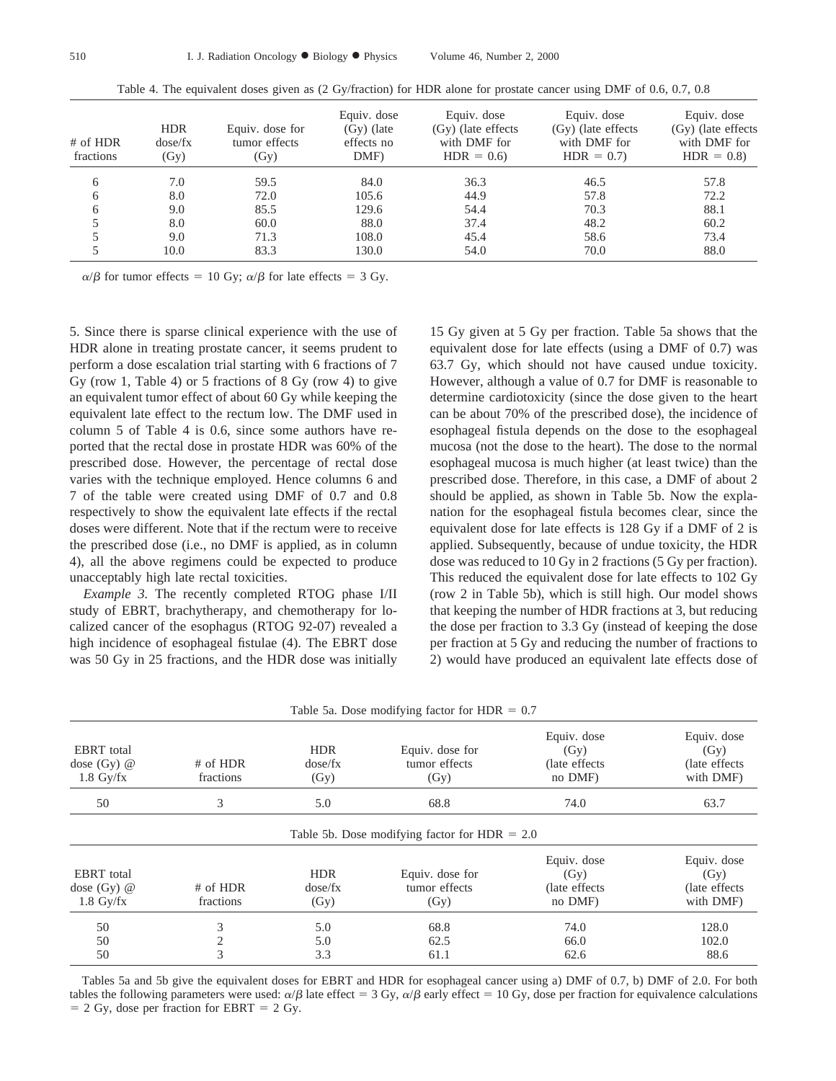| # of HDR<br>fractions | <b>HDR</b><br>dose/fx<br>(Gy) | Equiv. dose for<br>tumor effects<br>(Gy) | Equiv. dose<br>$(Gy)$ (late<br>effects no<br>DMF) | Equiv. dose<br>$(Gy)$ (late effects)<br>with DMF for<br>$HDR = 0.6$ | Equiv. dose<br>$(Gy)$ (late effects)<br>with DMF for<br>$HDR = 0.7$ | Equiv. dose<br>$(Gy)$ (late effects<br>with DMF for<br>$HDR = 0.8$ |
|-----------------------|-------------------------------|------------------------------------------|---------------------------------------------------|---------------------------------------------------------------------|---------------------------------------------------------------------|--------------------------------------------------------------------|
| 6                     | 7.0                           | 59.5                                     | 84.0                                              | 36.3                                                                | 46.5                                                                | 57.8                                                               |
| 6                     | 8.0                           | 72.0                                     | 105.6                                             | 44.9                                                                | 57.8                                                                | 72.2                                                               |
| 6                     | 9.0                           | 85.5                                     | 129.6                                             | 54.4                                                                | 70.3                                                                | 88.1                                                               |
| 5                     | 8.0                           | 60.0                                     | 88.0                                              | 37.4                                                                | 48.2                                                                | 60.2                                                               |
| 5                     | 9.0                           | 71.3                                     | 108.0                                             | 45.4                                                                | 58.6                                                                | 73.4                                                               |
|                       | 10.0                          | 83.3                                     | 130.0                                             | 54.0                                                                | 70.0                                                                | 88.0                                                               |

Table 4. The equivalent doses given as (2 Gy/fraction) for HDR alone for prostate cancer using DMF of 0.6, 0.7, 0.8

 $\alpha/\beta$  for tumor effects = 10 Gy;  $\alpha/\beta$  for late effects = 3 Gy.

5. Since there is sparse clinical experience with the use of HDR alone in treating prostate cancer, it seems prudent to perform a dose escalation trial starting with 6 fractions of 7 Gy (row 1, Table 4) or 5 fractions of 8 Gy (row 4) to give an equivalent tumor effect of about 60 Gy while keeping the equivalent late effect to the rectum low. The DMF used in column 5 of Table 4 is 0.6, since some authors have reported that the rectal dose in prostate HDR was 60% of the prescribed dose. However, the percentage of rectal dose varies with the technique employed. Hence columns 6 and 7 of the table were created using DMF of 0.7 and 0.8 respectively to show the equivalent late effects if the rectal doses were different. Note that if the rectum were to receive the prescribed dose (i.e., no DMF is applied, as in column 4), all the above regimens could be expected to produce unacceptably high late rectal toxicities.

*Example 3.* The recently completed RTOG phase I/II study of EBRT, brachytherapy, and chemotherapy for localized cancer of the esophagus (RTOG 92-07) revealed a high incidence of esophageal fistulae (4). The EBRT dose was 50 Gy in 25 fractions, and the HDR dose was initially 15 Gy given at 5 Gy per fraction. Table 5a shows that the equivalent dose for late effects (using a DMF of 0.7) was 63.7 Gy, which should not have caused undue toxicity. However, although a value of 0.7 for DMF is reasonable to determine cardiotoxicity (since the dose given to the heart can be about 70% of the prescribed dose), the incidence of esophageal fistula depends on the dose to the esophageal mucosa (not the dose to the heart). The dose to the normal esophageal mucosa is much higher (at least twice) than the prescribed dose. Therefore, in this case, a DMF of about 2 should be applied, as shown in Table 5b. Now the explanation for the esophageal fistula becomes clear, since the equivalent dose for late effects is 128 Gy if a DMF of 2 is applied. Subsequently, because of undue toxicity, the HDR dose was reduced to 10 Gy in 2 fractions (5 Gy per fraction). This reduced the equivalent dose for late effects to 102 Gy (row 2 in Table 5b), which is still high. Our model shows that keeping the number of HDR fractions at 3, but reducing the dose per fraction to 3.3 Gy (instead of keeping the dose per fraction at 5 Gy and reducing the number of fractions to 2) would have produced an equivalent late effects dose of

| Table 5a. Dose modifying factor for $HDR = 0.7$             |                          |                               |                                                 |                                                  |                                                    |  |  |  |
|-------------------------------------------------------------|--------------------------|-------------------------------|-------------------------------------------------|--------------------------------------------------|----------------------------------------------------|--|--|--|
| <b>EBRT</b> total<br>dose $(Gy)$ $@$<br>$1.8 \text{ Gy/fx}$ | # of HDR<br>fractions    | <b>HDR</b><br>dose/fx<br>(Gy) | Equiv. dose for<br>tumor effects<br>(Gy)        | Equiv. dose<br>(Gy)<br>(late effects)<br>no DMF) | Equiv. dose<br>(Gy)<br>(late effects)<br>with DMF) |  |  |  |
| 50                                                          | 3                        | 5.0                           | 68.8                                            | 74.0                                             | 63.7                                               |  |  |  |
|                                                             |                          |                               | Table 5b. Dose modifying factor for $HDR = 2.0$ |                                                  |                                                    |  |  |  |
| <b>EBRT</b> total<br>dose $(Gy)$ $@$<br>$1.8 \text{ Gy/fx}$ | # of HDR<br>fractions    | <b>HDR</b><br>dose/fx<br>(Gy) | Equiv. dose for<br>tumor effects<br>(Gy)        | Equiv. dose<br>(Gy)<br>(late effects)<br>no DMF) | Equiv. dose<br>(Gy)<br>(late effects)<br>with DMF) |  |  |  |
| 50<br>50<br>50                                              | 3<br>$\overline{c}$<br>3 | 5.0<br>5.0<br>3.3             | 68.8<br>62.5<br>61.1                            | 74.0<br>66.0<br>62.6                             | 128.0<br>102.0<br>88.6                             |  |  |  |

Tables 5a and 5b give the equivalent doses for EBRT and HDR for esophageal cancer using a) DMF of 0.7, b) DMF of 2.0. For both tables the following parameters were used:  $\alpha/\beta$  late effect = 3 Gy,  $\alpha/\beta$  early effect = 10 Gy, dose per fraction for equivalence calculations  $= 2$  Gy, dose per fraction for EBRT  $= 2$  Gy.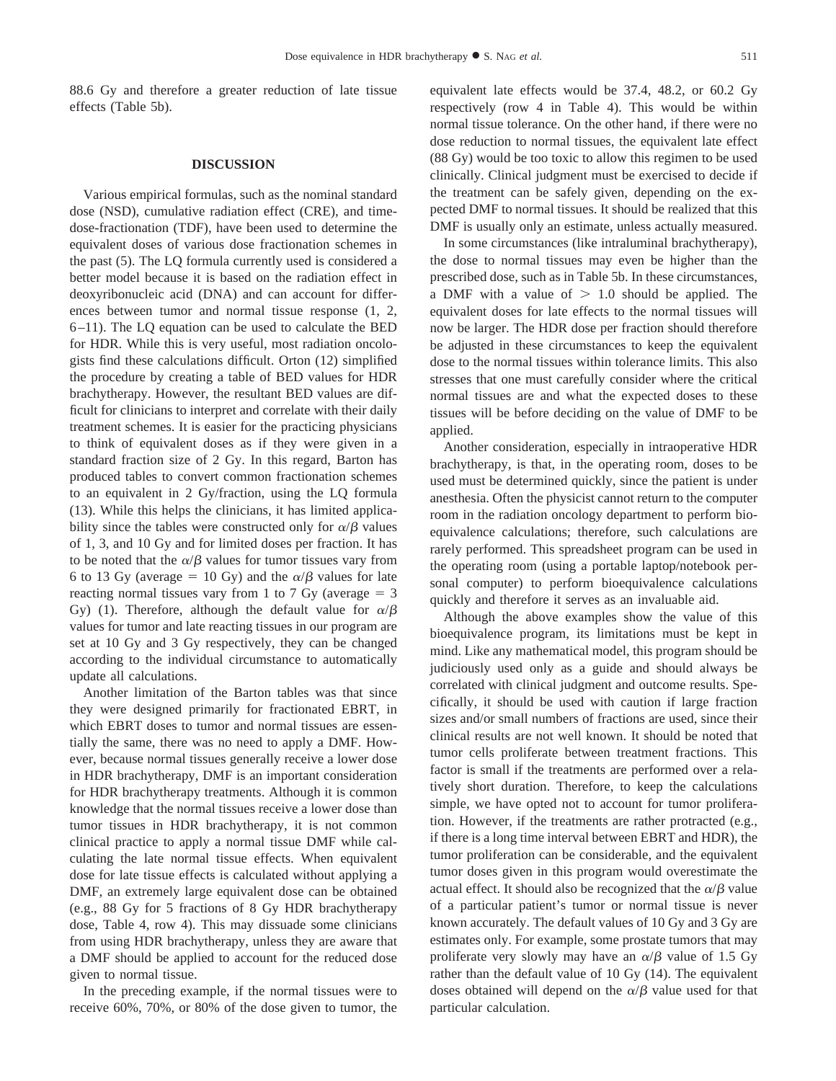88.6 Gy and therefore a greater reduction of late tissue effects (Table 5b).

## **DISCUSSION**

Various empirical formulas, such as the nominal standard dose (NSD), cumulative radiation effect (CRE), and timedose-fractionation (TDF), have been used to determine the equivalent doses of various dose fractionation schemes in the past (5). The LQ formula currently used is considered a better model because it is based on the radiation effect in deoxyribonucleic acid (DNA) and can account for differences between tumor and normal tissue response (1, 2, 6–11). The LQ equation can be used to calculate the BED for HDR. While this is very useful, most radiation oncologists find these calculations difficult. Orton (12) simplified the procedure by creating a table of BED values for HDR brachytherapy. However, the resultant BED values are difficult for clinicians to interpret and correlate with their daily treatment schemes. It is easier for the practicing physicians to think of equivalent doses as if they were given in a standard fraction size of 2 Gy. In this regard, Barton has produced tables to convert common fractionation schemes to an equivalent in 2 Gy/fraction, using the LQ formula (13). While this helps the clinicians, it has limited applicability since the tables were constructed only for  $\alpha/\beta$  values of 1, 3, and 10 Gy and for limited doses per fraction. It has to be noted that the  $\alpha/\beta$  values for tumor tissues vary from 6 to 13 Gy (average = 10 Gy) and the  $\alpha/\beta$  values for late reacting normal tissues vary from 1 to 7 Gy (average  $=$  3 Gy) (1). Therefore, although the default value for  $\alpha/\beta$ values for tumor and late reacting tissues in our program are set at 10 Gy and 3 Gy respectively, they can be changed according to the individual circumstance to automatically update all calculations.

Another limitation of the Barton tables was that since they were designed primarily for fractionated EBRT, in which EBRT doses to tumor and normal tissues are essentially the same, there was no need to apply a DMF. However, because normal tissues generally receive a lower dose in HDR brachytherapy, DMF is an important consideration for HDR brachytherapy treatments. Although it is common knowledge that the normal tissues receive a lower dose than tumor tissues in HDR brachytherapy, it is not common clinical practice to apply a normal tissue DMF while calculating the late normal tissue effects. When equivalent dose for late tissue effects is calculated without applying a DMF, an extremely large equivalent dose can be obtained (e.g., 88 Gy for 5 fractions of 8 Gy HDR brachytherapy dose, Table 4, row 4). This may dissuade some clinicians from using HDR brachytherapy, unless they are aware that a DMF should be applied to account for the reduced dose given to normal tissue.

In the preceding example, if the normal tissues were to receive 60%, 70%, or 80% of the dose given to tumor, the equivalent late effects would be 37.4, 48.2, or 60.2 Gy respectively (row 4 in Table 4). This would be within normal tissue tolerance. On the other hand, if there were no dose reduction to normal tissues, the equivalent late effect (88 Gy) would be too toxic to allow this regimen to be used clinically. Clinical judgment must be exercised to decide if the treatment can be safely given, depending on the expected DMF to normal tissues. It should be realized that this DMF is usually only an estimate, unless actually measured.

In some circumstances (like intraluminal brachytherapy), the dose to normal tissues may even be higher than the prescribed dose, such as in Table 5b. In these circumstances, a DMF with a value of  $> 1.0$  should be applied. The equivalent doses for late effects to the normal tissues will now be larger. The HDR dose per fraction should therefore be adjusted in these circumstances to keep the equivalent dose to the normal tissues within tolerance limits. This also stresses that one must carefully consider where the critical normal tissues are and what the expected doses to these tissues will be before deciding on the value of DMF to be applied.

Another consideration, especially in intraoperative HDR brachytherapy, is that, in the operating room, doses to be used must be determined quickly, since the patient is under anesthesia. Often the physicist cannot return to the computer room in the radiation oncology department to perform bioequivalence calculations; therefore, such calculations are rarely performed. This spreadsheet program can be used in the operating room (using a portable laptop/notebook personal computer) to perform bioequivalence calculations quickly and therefore it serves as an invaluable aid.

Although the above examples show the value of this bioequivalence program, its limitations must be kept in mind. Like any mathematical model, this program should be judiciously used only as a guide and should always be correlated with clinical judgment and outcome results. Specifically, it should be used with caution if large fraction sizes and/or small numbers of fractions are used, since their clinical results are not well known. It should be noted that tumor cells proliferate between treatment fractions. This factor is small if the treatments are performed over a relatively short duration. Therefore, to keep the calculations simple, we have opted not to account for tumor proliferation. However, if the treatments are rather protracted (e.g., if there is a long time interval between EBRT and HDR), the tumor proliferation can be considerable, and the equivalent tumor doses given in this program would overestimate the actual effect. It should also be recognized that the  $\alpha/\beta$  value of a particular patient's tumor or normal tissue is never known accurately. The default values of 10 Gy and 3 Gy are estimates only. For example, some prostate tumors that may proliferate very slowly may have an  $\alpha/\beta$  value of 1.5 Gy rather than the default value of 10 Gy (14). The equivalent doses obtained will depend on the  $\alpha/\beta$  value used for that particular calculation.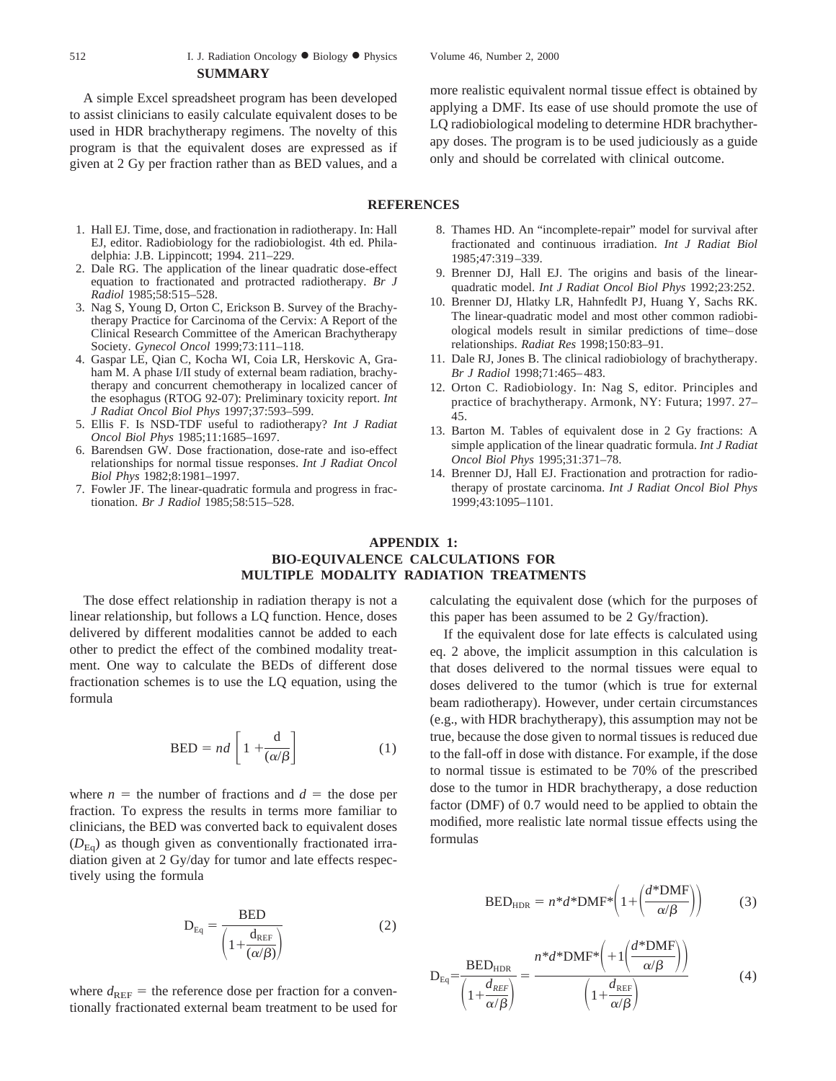A simple Excel spreadsheet program has been developed to assist clinicians to easily calculate equivalent doses to be used in HDR brachytherapy regimens. The novelty of this program is that the equivalent doses are expressed as if given at 2 Gy per fraction rather than as BED values, and a

- 1. Hall EJ. Time, dose, and fractionation in radiotherapy. In: Hall EJ, editor. Radiobiology for the radiobiologist. 4th ed. Philadelphia: J.B. Lippincott; 1994. 211–229.
- 2. Dale RG. The application of the linear quadratic dose-effect equation to fractionated and protracted radiotherapy. *Br J Radiol* 1985;58:515–528.
- 3. Nag S, Young D, Orton C, Erickson B. Survey of the Brachytherapy Practice for Carcinoma of the Cervix: A Report of the Clinical Research Committee of the American Brachytherapy Society. *Gynecol Oncol* 1999;73:111–118.
- 4. Gaspar LE, Qian C, Kocha WI, Coia LR, Herskovic A, Graham M. A phase I/II study of external beam radiation, brachytherapy and concurrent chemotherapy in localized cancer of the esophagus (RTOG 92-07): Preliminary toxicity report. *Int J Radiat Oncol Biol Phys* 1997;37:593–599.
- 5. Ellis F. Is NSD-TDF useful to radiotherapy? *Int J Radiat Oncol Biol Phys* 1985;11:1685–1697.
- 6. Barendsen GW. Dose fractionation, dose-rate and iso-effect relationships for normal tissue responses. *Int J Radiat Oncol Biol Phys* 1982;8:1981–1997.
- 7. Fowler JF. The linear-quadratic formula and progress in fractionation. *Br J Radiol* 1985;58:515–528.

more realistic equivalent normal tissue effect is obtained by applying a DMF. Its ease of use should promote the use of LQ radiobiological modeling to determine HDR brachytherapy doses. The program is to be used judiciously as a guide only and should be correlated with clinical outcome.

#### **REFERENCES**

- 8. Thames HD. An "incomplete-repair" model for survival after fractionated and continuous irradiation. *Int J Radiat Biol* 1985;47:319–339.
- 9. Brenner DJ, Hall EJ. The origins and basis of the linearquadratic model. *Int J Radiat Oncol Biol Phys* 1992;23:252.
- 10. Brenner DJ, Hlatky LR, Hahnfedlt PJ, Huang Y, Sachs RK. The linear-quadratic model and most other common radiobiological models result in similar predictions of time–dose relationships. *Radiat Res* 1998;150:83–91.
- 11. Dale RJ, Jones B. The clinical radiobiology of brachytherapy. *Br J Radiol* 1998;71:465–483.
- 12. Orton C. Radiobiology. In: Nag S, editor. Principles and practice of brachytherapy. Armonk, NY: Futura; 1997. 27– 45.
- 13. Barton M. Tables of equivalent dose in 2 Gy fractions: A simple application of the linear quadratic formula. *Int J Radiat Oncol Biol Phys* 1995;31:371–78.
- 14. Brenner DJ, Hall EJ. Fractionation and protraction for radiotherapy of prostate carcinoma. *Int J Radiat Oncol Biol Phys* 1999;43:1095–1101.

# **APPENDIX 1: BIO-EQUIVALENCE CALCULATIONS FOR MULTIPLE MODALITY RADIATION TREATMENTS**

The dose effect relationship in radiation therapy is not a linear relationship, but follows a LQ function. Hence, doses delivered by different modalities cannot be added to each other to predict the effect of the combined modality treatment. One way to calculate the BEDs of different dose fractionation schemes is to use the LQ equation, using the formula

$$
BED = nd \left[ 1 + \frac{d}{(\alpha/\beta)} \right] \tag{1}
$$

where  $n =$  the number of fractions and  $d =$  the dose per fraction. To express the results in terms more familiar to clinicians, the BED was converted back to equivalent doses  $(D_{\text{Eq}})$  as though given as conventionally fractionated irradiation given at 2 Gy/day for tumor and late effects respectively using the formula

$$
D_{\text{Eq}} = \frac{\text{BED}}{\left(1 + \frac{d_{\text{REF}}}{\left(\alpha/\beta\right)}\right)}\tag{2}
$$

where  $d_{\text{REF}}$  = the reference dose per fraction for a conventionally fractionated external beam treatment to be used for calculating the equivalent dose (which for the purposes of this paper has been assumed to be 2 Gy/fraction).

If the equivalent dose for late effects is calculated using eq. 2 above, the implicit assumption in this calculation is that doses delivered to the normal tissues were equal to doses delivered to the tumor (which is true for external beam radiotherapy). However, under certain circumstances (e.g., with HDR brachytherapy), this assumption may not be true, because the dose given to normal tissues is reduced due to the fall-off in dose with distance. For example, if the dose to normal tissue is estimated to be 70% of the prescribed dose to the tumor in HDR brachytherapy, a dose reduction factor (DMF) of 0.7 would need to be applied to obtain the modified, more realistic late normal tissue effects using the formulas

$$
BEDHDR = n * d * DMF * \left( 1 + \left( \frac{d * DMF}{\alpha/\beta} \right) \right) \tag{3}
$$

$$
D_{Eq} = \frac{BED_{HDR}}{\left(1 + \frac{d_{REF}}{\alpha/\beta}\right)} = \frac{n^*d^*DMF^*\left(+1\left(\frac{d^*DMF}{\alpha/\beta}\right)\right)}{\left(1 + \frac{d_{REF}}{\alpha/\beta}\right)}
$$
(4)